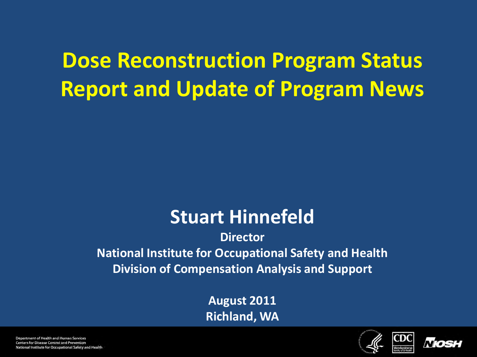## **Dose Reconstruction Program Status Report and Update of Program News**

### **Stuart Hinnefeld**

#### **Director National Institute for Occupational Safety and Health Division of Compensation Analysis and Support**

**August 2011 Richland, WA**

CDC



Department of Health and Human Services Centers for Disease Control and Prevention National Institute for Occupational Safety and Health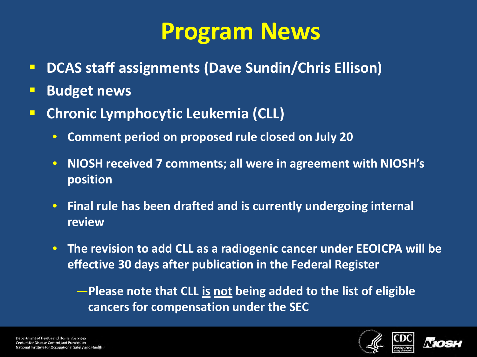# **Program News**

- **DCAS staff assignments (Dave Sundin/Chris Ellison)**
- **Budget news**
- **Chronic Lymphocytic Leukemia (CLL)**
	- **Comment period on proposed rule closed on July 20**
	- **NIOSH received 7 comments; all were in agreement with NIOSH's position**
	- **Final rule has been drafted and is currently undergoing internal review**
	- **The revision to add CLL as a radiogenic cancer under EEOICPA will be effective 30 days after publication in the Federal Register**

—**Please note that CLL is not being added to the list of eligible cancers for compensation under the SEC** 



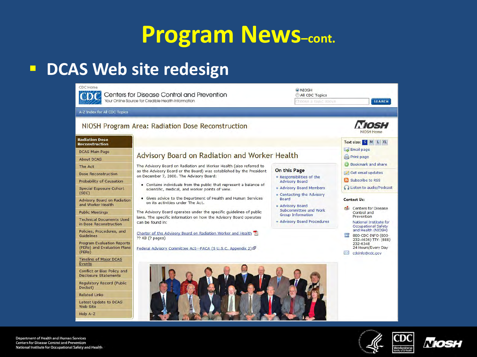## **Program News–cont.**

### **DCAS Web site redesign**





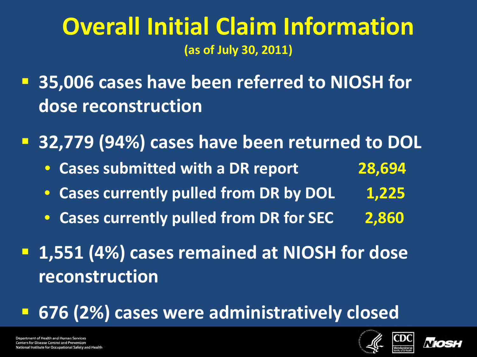### **Overall Initial Claim Information (as of July 30, 2011)**

 **35,006 cases have been referred to NIOSH for dose reconstruction**

**32,779 (94%) cases have been returned to DOL**

- **Cases submitted with a DR report 28,694**
- **Cases currently pulled from DR by DOL 1,225**
- **Cases currently pulled from DR for SEC 2,860**
- **1,551 (4%) cases remained at NIOSH for dose reconstruction**

**676 (2%) cases were administratively closed**



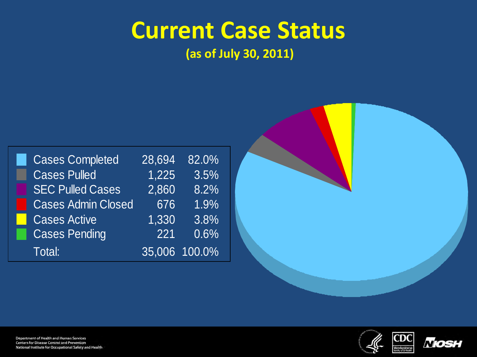# **Current Case Status**

|                        | <b>Cases Completed</b>    | 28,694 | 82.0%         |
|------------------------|---------------------------|--------|---------------|
|                        | <b>Cases Pulled</b>       | 1,225  | 3.5%          |
|                        | <b>SEC Pulled Cases</b>   | 2,860  | 8.2%          |
|                        | <b>Cases Admin Closed</b> | 676    | 1.9%          |
| <b>Service Service</b> | <b>Cases Active</b>       | 1,330  | 3.8%          |
|                        | <b>Cases Pending</b>      | 221    | 0.6%          |
|                        | Total:                    |        | 35,006 100.0% |
|                        |                           |        |               |



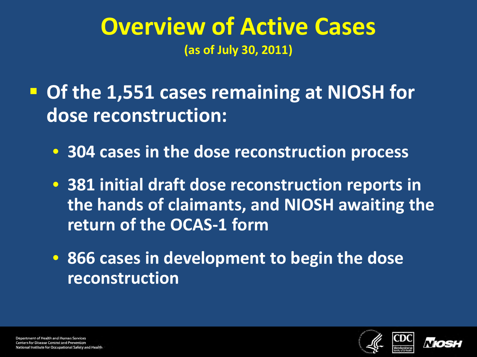### **Overview of Active Cases (as of July 30, 2011)**

 **Of the 1,551 cases remaining at NIOSH for dose reconstruction:**

- **304 cases in the dose reconstruction process**
- **381 initial draft dose reconstruction reports in the hands of claimants, and NIOSH awaiting the return of the OCAS-1 form**
- **866 cases in development to begin the dose reconstruction**



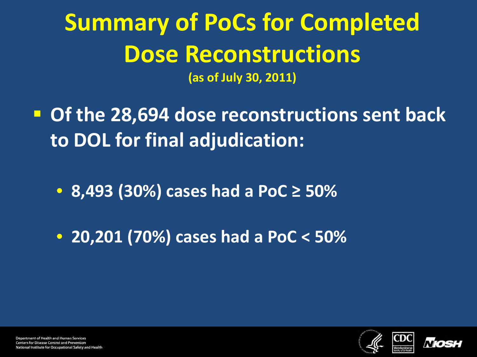# **Summary of PoCs for Completed Dose Reconstructions**

- **Of the 28,694 dose reconstructions sent back to DOL for final adjudication:**
	- **8,493 (30%) cases had a PoC ≥ 50%**
	- **20,201 (70%) cases had a PoC < 50%**



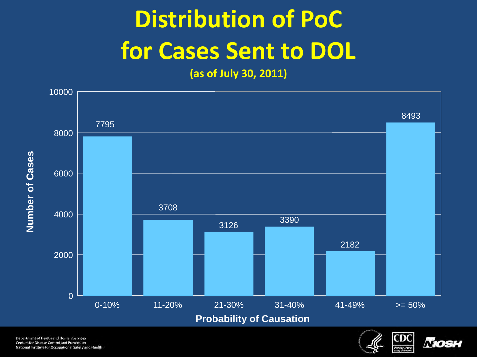# **Distribution of PoC for Cases Sent to DOL**



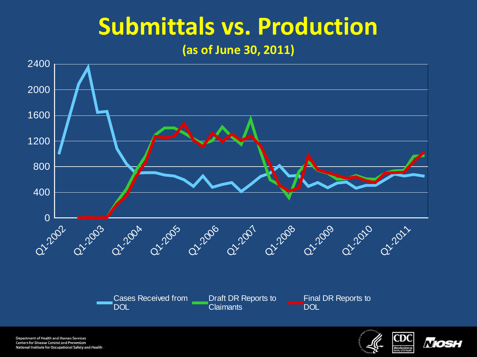# **Submittals vs. Production**

#### **(as of June 30, 2011)**



Department of Health and Human Services Centers for Disease Control and Prevention National Institute for Occupational Safety and Health



Mos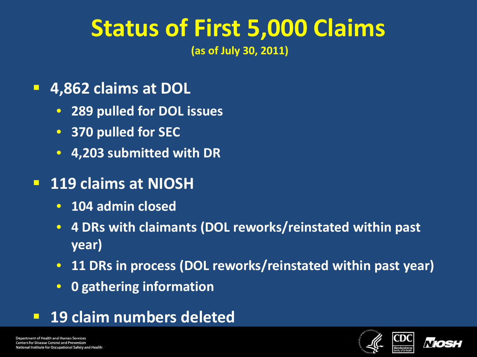# **Status of First 5,000 Claims**

- **4,862 claims at DOL**
	- **289 pulled for DOL issues**
	- **370 pulled for SEC**
	- **4,203 submitted with DR**
- **119 claims at NIOSH**
	- **104 admin closed**
	- **4 DRs with claimants (DOL reworks/reinstated within past year)**
	- **11 DRs in process (DOL reworks/reinstated within past year)**
	- **0 gathering information**
- **19 claim numbers deleted**



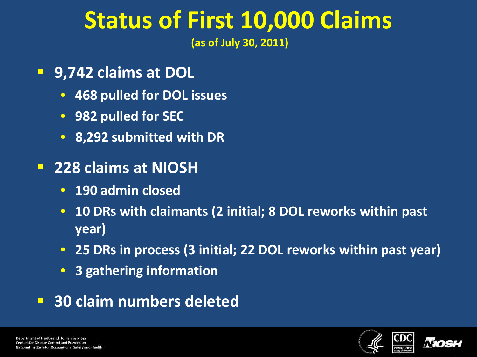# **Status of First 10,000 Claims**

- **9,742 claims at DOL**
	- **468 pulled for DOL issues**
	- **982 pulled for SEC**
	- **8,292 submitted with DR**
- **228 claims at NIOSH**
	- **190 admin closed**
	- **10 DRs with claimants (2 initial; 8 DOL reworks within past year)**
	- **25 DRs in process (3 initial; 22 DOL reworks within past year)**
	- **3 gathering information**
- **30 claim numbers deleted**

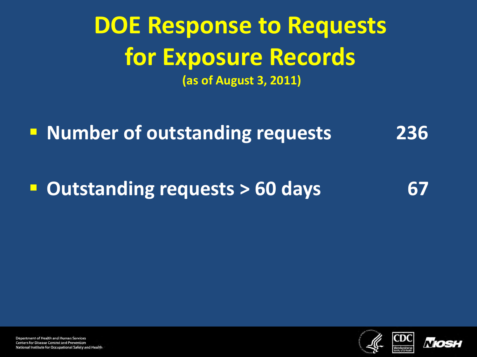## **DOE Response to Requests for Exposure Records (as of August 3, 2011)**

**Number of outstanding requests** 236

**Dutstanding requests > 60 days** 67



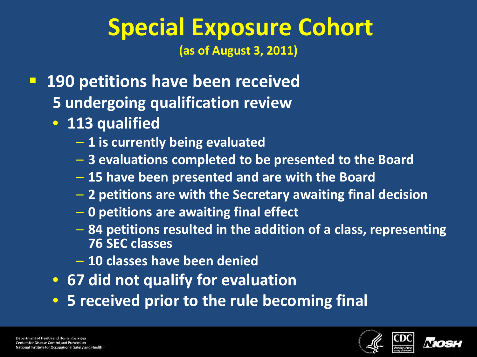### **Special Exposure Cohort (as of August 3, 2011)**

- **190 petitions have been received 5 undergoing qualification review**
	- **113 qualified**
		- **1 is currently being evaluated**
		- **3 evaluations completed to be presented to the Board**
		- **15 have been presented and are with the Board**
		- **2 petitions are with the Secretary awaiting final decision**
		- **0 petitions are awaiting final effect**
		- **84 petitions resulted in the addition of a class, representing 76 SEC classes**
		- **10 classes have been denied**
	- **67 did not qualify for evaluation**
	- **5 received prior to the rule becoming final**